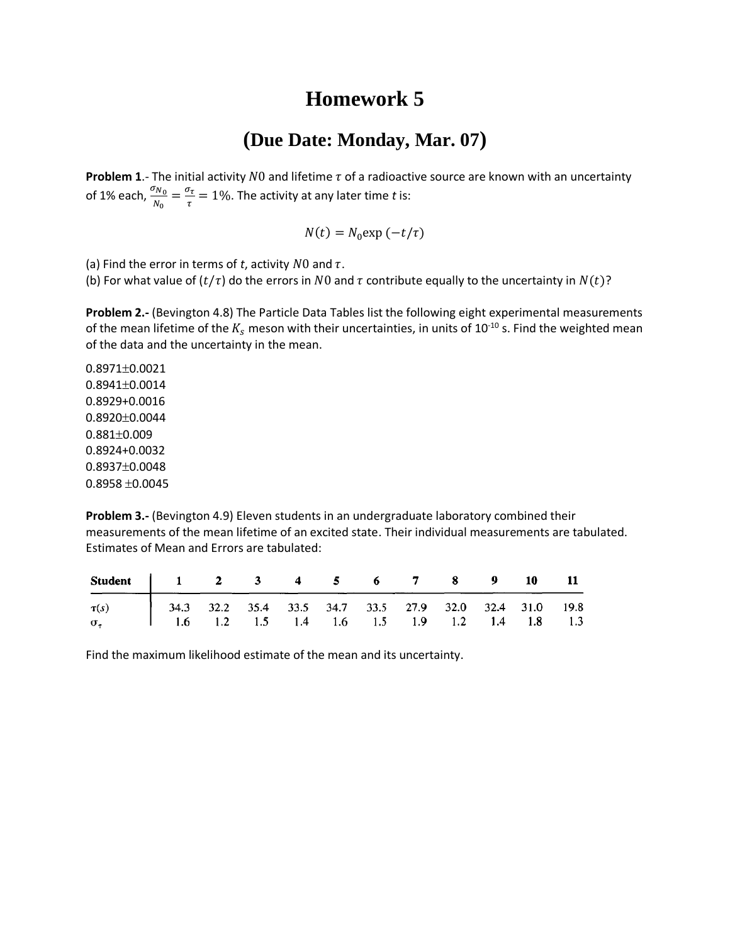## **Homework 5**

## **(Due Date: Monday, Mar. 07)**

**Problem 1.**- The initial activity  $N0$  and lifetime  $\tau$  of a radioactive source are known with an uncertainty of 1% each,  $\frac{\sigma_{N_0}}{N_0} = \frac{\sigma_{\tau}}{\tau}$  $\frac{\partial \tau}{\partial \tau} = 1\%$ . The activity at any later time *t* is:

$$
N(t) = N_0 \exp(-t/\tau)
$$

(a) Find the error in terms of *t*, activity  $N0$  and  $\tau$ .

(b) For what value of  $(t/\tau)$  do the errors in N0 and  $\tau$  contribute equally to the uncertainty in  $N(t)$ ?

**Problem 2.-** (Bevington 4.8) The Particle Data Tables list the following eight experimental measurements of the mean lifetime of the  $K_s$  meson with their uncertainties, in units of 10<sup>-10</sup> s. Find the weighted mean of the data and the uncertainty in the mean.

 $0.8971\pm0.0021$  $0.8941 \pm 0.0014$ 0.8929+0.0016  $0.8920 \pm 0.0044$  $0.881 \pm 0.009$ 0.8924+0.0032  $0.8937 \pm 0.0048$  $0.8958 \pm 0.0045$ 

**Problem 3.-** (Bevington 4.9) Eleven students in an undergraduate laboratory combined their measurements of the mean lifetime of an excited state. Their individual measurements are tabulated. Estimates of Mean and Errors are tabulated:

| Student 1 2 3 4 5 6 7 8 9 10 11                                                                                                    |  |  |  |  |  |  |
|------------------------------------------------------------------------------------------------------------------------------------|--|--|--|--|--|--|
| $\sigma_{\tau}$ 34.3 32.2 35.4 33.5 34.7 33.5 27.9 32.0 32.4 31.0 19.8 $\sigma_{\tau}$ 1.6 1.2 1.5 1.4 1.6 1.5 1.9 1.2 1.4 1.8 1.3 |  |  |  |  |  |  |
|                                                                                                                                    |  |  |  |  |  |  |

Find the maximum likelihood estimate of the mean and its uncertainty.